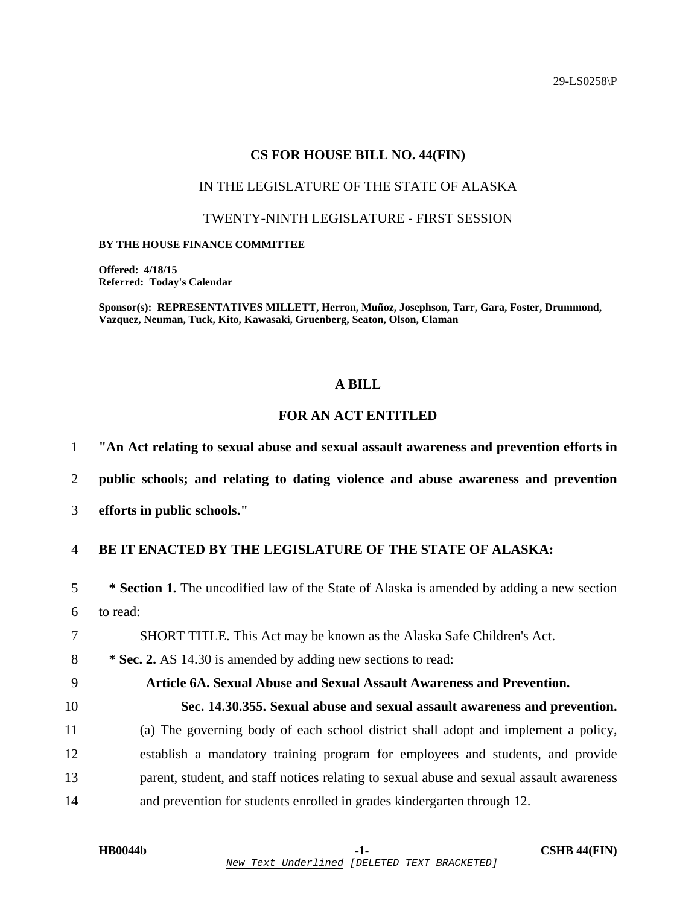29-LS0258\P

### **CS FOR HOUSE BILL NO. 44(FIN)**

# IN THE LEGISLATURE OF THE STATE OF ALASKA

#### TWENTY-NINTH LEGISLATURE - FIRST SESSION

#### **BY THE HOUSE FINANCE COMMITTEE**

**Offered: 4/18/15 Referred: Today's Calendar** 

**Sponsor(s): REPRESENTATIVES MILLETT, Herron, Muñoz, Josephson, Tarr, Gara, Foster, Drummond, Vazquez, Neuman, Tuck, Kito, Kawasaki, Gruenberg, Seaton, Olson, Claman** 

# **A BILL**

# **FOR AN ACT ENTITLED**

1 **"An Act relating to sexual abuse and sexual assault awareness and prevention efforts in** 

2 **public schools; and relating to dating violence and abuse awareness and prevention** 

3 **efforts in public schools."** 

# 4 **BE IT ENACTED BY THE LEGISLATURE OF THE STATE OF ALASKA:**

5 **\* Section 1.** The uncodified law of the State of Alaska is amended by adding a new section 6 to read:

7 SHORT TITLE. This Act may be known as the Alaska Safe Children's Act.

8 **\* Sec. 2.** AS 14.30 is amended by adding new sections to read:

#### 9 **Article 6A. Sexual Abuse and Sexual Assault Awareness and Prevention.**

10 **Sec. 14.30.355. Sexual abuse and sexual assault awareness and prevention.**  11 (a) The governing body of each school district shall adopt and implement a policy, 12 establish a mandatory training program for employees and students, and provide 13 parent, student, and staff notices relating to sexual abuse and sexual assault awareness 14 and prevention for students enrolled in grades kindergarten through 12.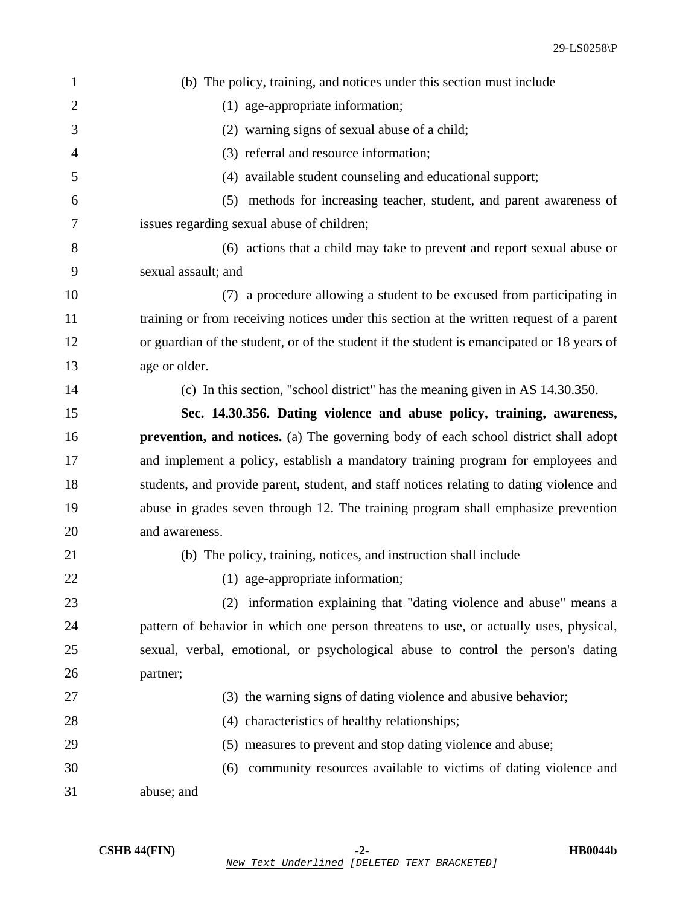| $\mathbf{1}$   | (b) The policy, training, and notices under this section must include                      |
|----------------|--------------------------------------------------------------------------------------------|
| $\overline{2}$ | (1) age-appropriate information;                                                           |
| 3              | (2) warning signs of sexual abuse of a child;                                              |
| $\overline{4}$ | (3) referral and resource information;                                                     |
| 5              | (4) available student counseling and educational support;                                  |
| 6              | (5) methods for increasing teacher, student, and parent awareness of                       |
| 7              | issues regarding sexual abuse of children;                                                 |
| 8              | (6) actions that a child may take to prevent and report sexual abuse or                    |
| 9              | sexual assault; and                                                                        |
| 10             | (7) a procedure allowing a student to be excused from participating in                     |
| 11             | training or from receiving notices under this section at the written request of a parent   |
| 12             | or guardian of the student, or of the student if the student is emancipated or 18 years of |
| 13             | age or older.                                                                              |
| 14             | (c) In this section, "school district" has the meaning given in AS 14.30.350.              |
| 15             | Sec. 14.30.356. Dating violence and abuse policy, training, awareness,                     |
| 16             | prevention, and notices. (a) The governing body of each school district shall adopt        |
| 17             | and implement a policy, establish a mandatory training program for employees and           |
| 18             | students, and provide parent, student, and staff notices relating to dating violence and   |
| 19             | abuse in grades seven through 12. The training program shall emphasize prevention          |
| 20             | and awareness.                                                                             |
| 21             | (b) The policy, training, notices, and instruction shall include                           |
| 22             | (1) age-appropriate information;                                                           |
| 23             | (2) information explaining that "dating violence and abuse" means a                        |
| 24             | pattern of behavior in which one person threatens to use, or actually uses, physical,      |
| 25             | sexual, verbal, emotional, or psychological abuse to control the person's dating           |
| 26             | partner;                                                                                   |
| 27             | (3) the warning signs of dating violence and abusive behavior;                             |
| 28             | (4) characteristics of healthy relationships;                                              |
| 29             | (5) measures to prevent and stop dating violence and abuse;                                |
| 30             | community resources available to victims of dating violence and<br>(6)                     |
| 31             | abuse; and                                                                                 |
|                |                                                                                            |